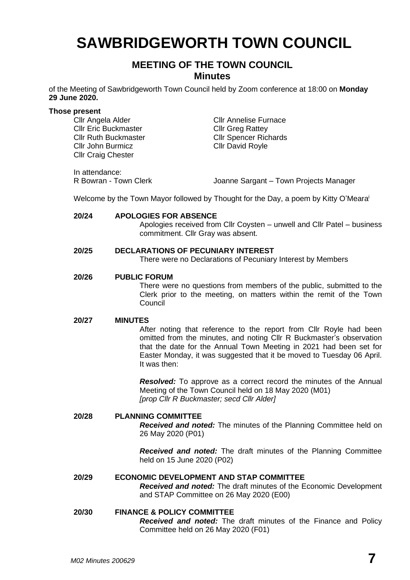# **SAWBRIDGEWORTH TOWN COUNCIL**

# **MEETING OF THE TOWN COUNCIL Minutes**

of the Meeting of Sawbridgeworth Town Council held by Zoom conference at 18:00 on **Monday 29 June 2020.**

#### **Those present**

Cllr Eric Buckmaster Cllr Greg Rattey Cllr John Burmicz Cllr David Royle Cllr Craig Chester

Cllr Angela Alder Cllr Annelise Furnace Cllr Ruth Buckmaster Cllr Spencer Richards

In attendance:

R Bowran - Town Clerk Joanne Sargant – Town Projects Manager

Welcome by the Town Mayor followed by Thought for the Day, a poem by Kitty O'Meara i

#### **20/24 APOLOGIES FOR ABSENCE**

Apologies received from Cllr Coysten – unwell and Cllr Patel – business commitment. Cllr Gray was absent.

# **20/25 DECLARATIONS OF PECUNIARY INTEREST**

There were no Declarations of Pecuniary Interest by Members

#### **20/26 PUBLIC FORUM**

There were no questions from members of the public, submitted to the Clerk prior to the meeting, on matters within the remit of the Town **Council** 

#### **20/27 MINUTES**

After noting that reference to the report from Cllr Royle had been omitted from the minutes, and noting Cllr R Buckmaster's observation that the date for the Annual Town Meeting in 2021 had been set for Easter Monday, it was suggested that it be moved to Tuesday 06 April. It was then:

*Resolved:* To approve as a correct record the minutes of the Annual Meeting of the Town Council held on 18 May 2020 (M01) *[prop Cllr R Buckmaster; secd Cllr Alder]*

# **20/28 PLANNING COMMITTEE**

*Received and noted:* The minutes of the Planning Committee held on 26 May 2020 (P01)

*Received and noted:* The draft minutes of the Planning Committee held on 15 June 2020 (P02)

### **20/29 ECONOMIC DEVELOPMENT AND STAP COMMITTEE** *Received and noted:* The draft minutes of the Economic Development and STAP Committee on 26 May 2020 (E00)

# **20/30 FINANCE & POLICY COMMITTEE**

*Received and noted:* The draft minutes of the Finance and Policy Committee held on 26 May 2020 (F01)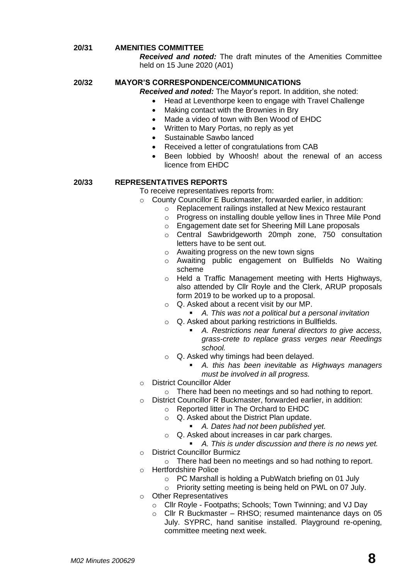## **20/31 AMENITIES COMMITTEE**

*Received and noted:* The draft minutes of the Amenities Committee held on 15 June 2020 (A01)

# **20/32 MAYOR'S CORRESPONDENCE/COMMUNICATIONS**

*Received and noted:* The Mayor's report. In addition, she noted:

- Head at Leventhorpe keen to engage with Travel Challenge
- Making contact with the Brownies in Bry
- Made a video of town with Ben Wood of EHDC
- Written to Mary Portas, no reply as yet
- Sustainable Sawbo lanced
- Received a letter of congratulations from CAB
- Been lobbied by Whoosh! about the renewal of an access licence from EHDC

#### **20/33 REPRESENTATIVES REPORTS**

To receive representatives reports from:

- o County Councillor E Buckmaster, forwarded earlier, in addition:
	- o Replacement railings installed at New Mexico restaurant
	- o Progress on installing double yellow lines in Three Mile Pond
	- o Engagement date set for Sheering Mill Lane proposals
	- o Central Sawbridgeworth 20mph zone, 750 consultation letters have to be sent out.
	- o Awaiting progress on the new town signs
	- o Awaiting public engagement on Bullfields No Waiting scheme
	- o Held a Traffic Management meeting with Herts Highways, also attended by Cllr Royle and the Clerk, ARUP proposals form 2019 to be worked up to a proposal.
	- o Q. Asked about a recent visit by our MP.
		- *A. This was not a political but a personal invitation*
	- o Q. Asked about parking restrictions in Bullfields.
		- *A. Restrictions near funeral directors to give access, grass-crete to replace grass verges near Reedings school.*
	- Q. Asked why timings had been delayed.
		- *A. this has been inevitable as Highways managers must be involved in all progress.*
- o District Councillor Alder
	- o There had been no meetings and so had nothing to report.
- o District Councillor R Buckmaster, forwarded earlier, in addition:
	- o Reported litter in The Orchard to EHDC
		- o Q. Asked about the District Plan update.
			- *A. Dates had not been published yet.*
		- o Q. Asked about increases in car park charges.
			- *A. This is under discussion and there is no news yet.*
- o District Councillor Burmicz
	- o There had been no meetings and so had nothing to report.
- o Hertfordshire Police
	- o PC Marshall is holding a PubWatch briefing on 01 July
	- o Priority setting meeting is being held on PWL on 07 July.
- o Other Representatives
	- o Cllr Royle Footpaths; Schools; Town Twinning; and VJ Day
	- o Cllr R Buckmaster *–* RHSO; resumed maintenance days on 05 July. SYPRC, hand sanitise installed. Playground re-opening, committee meeting next week.